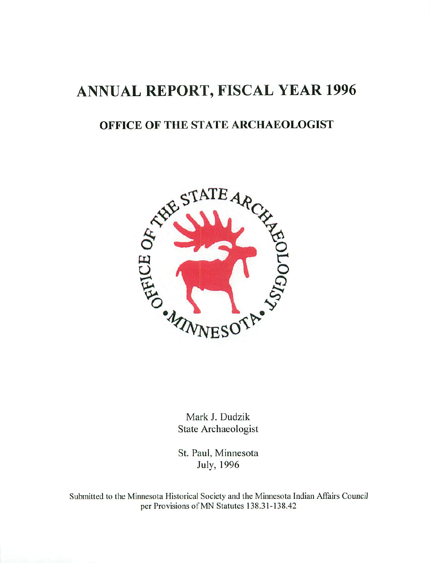# ANNUAL REPORT, FISCAL YEAR <sup>1996</sup>

# OFFICE OF THE STATE ARCHAEOLOGIST



Mark J. Dudzik State Archaeologist

St. Paul, Minnesota July, 1996

Submitted to the Minnesota Historical Society and the Minnesota Indian Affairs Council per Provisions of MN Statutes 138.31-138.42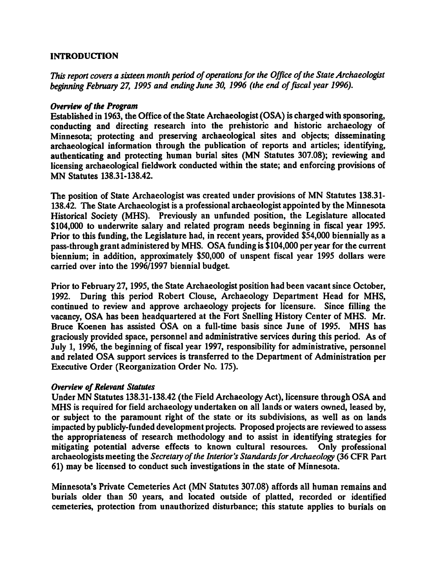### INTRODUCTION

This report covers a sixteen month period of operations for the Office of the State Archaeologist beginning February 27, 1995 and ending June 30, 1996 (the end of fiscal year 1996).

#### Overview of the Program

Established in 1963, the Office of the State Archaeologist (OSA) is charged with sponsoring, conducting and directing research into the prehistoric and historic archaeology of Minnesota; protecting and preserving archaeological sites and objects; disseminating archaeological information through the publication of reports and articles; identifying, authenticating and protecting human burial sites (MN Statutes 307.08); reviewing and licensing archaeological fieldwork conducted within the state; and enforcing provisions of MN Statutes 138.31-138.42.

The position of State Archaeologist was created under provisions of MN Statutes 138.31- 138.42. The State Archaeologist is a professional archaeologist appointed by the Minnesota Historical Society (MHS). Previously an unfunded position, the Legislature allocated \$104,000 to underwrite salary and related program needs beginning in fiscal year 1995. Prior to this funding, the Legislature had, in recent years, provided \$54,000 biennially as a pass-through grant administered by MHS. OSA funding is \$104,000 per year for the current biennium; in addition, approximately \$50,000 of unspent fiscal year 1995 dollars were carried over into the 1996/1997 biennial budget

Prior to February 27,1995, the State Archaeologist position had been vacant since October, 1992. During this period Robert Clouse, Archaeology Department Head for MHS, continued to review and approve archaeology projects for licensure. Since filling the vacancy, OSA has been headquartered at the Fort Snelling History Center of MHS. Mr. Bruce Koenen has assisted OSA on a full-time basis since June of 1995. MHS has graciously provided space, personnel and administrative services during this period. As of July 1, 1996, the beginning of fiscal year 1997, responsibility for administrative, personnel and related OSA support services is transferred to the Department of Administration per Executive Order (Reorganization Order No. 175).

### Overview of Relevant Statutes

Under MN Statutes 138.31-138.42 (the Field Archaeology Act), licensure through OSA and MHS is required for field archaeology undertaken on all lands or waters owned, leased by, or subject to the paramount right of the state or its subdivisions, as well as on lands impacted by publicly-funded development projects. Proposed projects are reviewed to assess the appropriateness of research methodology and to assist in identifying strategies for mitigating potential adverse effects to known cultural resources. Only professional archaeologists meeting the Secretary of the Interior's Standards for Archaeology (36 CFR Part 61) may be licensed to conduct such investigations in the state of Minnesota.

Minnesota's Private Cemeteries Act (MN Statutes 307.08) affords all human remains and burials older than 50 years, and located outside of platted, recorded or identified cemeteries, protection from unauthorized disturbance; this statute applies to burials on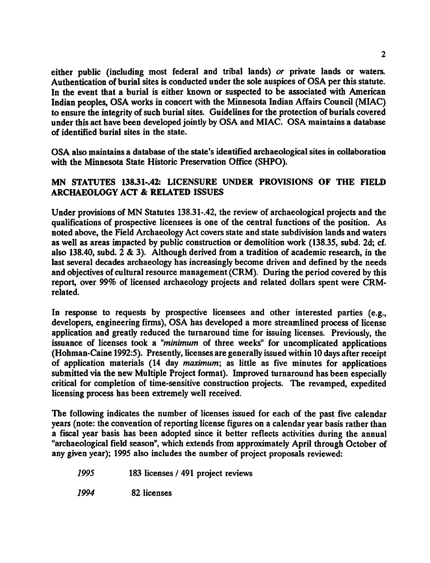either public (including most federal and tribal lands) or private lands or waters. Authentication of burial sites is conducted under the sole auspices of OSA per this statute. In the event that a burial is either known or suspected to be associated with American Indian peoples, OSA works in concert with the Minnesota Indian Affairs Council (MIAC) to ensure the integrity of such burial sites. Guidelines for the protection of burials covered under this act have been developed jointly by OSA and MIAC. OSA maintains a database of identified burial sites in the state.

OSA also maintains a database of the state's identified archaeological sites in collaboration with the Minnesota State Historic Preservation Office (SHPO).

## MN STATUTES 138.31-.42: LICENSURE UNDER PROVISIONS OF THE FIELD ARCHAEOLOGY ACT & RELATED ISSUES

Under provisions of MN Statutes 138.31-.42, the review of archaeological projects and the qualifications of prospective licensees is one of the central functions of the position. As noted above, the Field Archaeology Act covers state and state subdivision lands and waters as well as areas impacted by public construction or demolition work (138.35, subd. 2d; cf. also 138.40, subd. 2 & 3). Although derived from a tradition of academic research, in the last several decades archaeology has increasingly become driven and defined by the needs and objectives of cultural resource management (CRM). During the period covered by this report, over 99% of licensed archaeology projects and related dollars spent were CRMrelated.

In response to requests by prospective licensees and other interested parties (e.g., developers, engineering firms), OSA has developed a more streamlined process of license application and greatly reduced the turnaround time for issuing licenses. Previously, the issuance of licenses took a "minimum of three weeks" for uncomplicated applications (Hohman-Caine 1992:5). Presently, licenses are generally issued within 10 days after receipt of application materials (14 day maximum; as little as five minutes for applications submitted via the new Multiple Project format). Improved turnaround has been especially critical for completion of time-sensitive construction projects. The revamped, expedited licensing process has been extremely well received.

The following indicates the number of licenses issued for each of the past five calendar years (note: the convention of reporting license figures on a calendar year basis rather than a fiscal year basis has been adopted since it better reflects activities during the annual "archaeological field season", which extends from approximately April through October of any given year); 1995 also includes the number of project proposals reviewed:

1995 183 licenses 491 project reviews

1994 82 licenses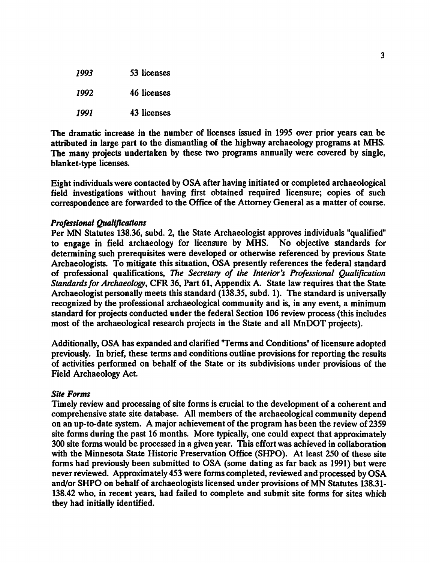| 7993 | 53 licenses |
|------|-------------|
| 1992 | 46 licenses |
| 1991 | 43 licenses |

The dramatic increase in the number of licenses issued in 1995 over prior years can be attributed in large part to the dismantling of the highway archaeology programs at MHS. The many projects undertaken by these two programs annually were covered by single, blanket-type licenses.

Eight individuals were contacted by OSA after having initiated or completed archaeological field investigations without having first obtained required licensure; copies of such correspondence are forwarded to the Office of the Attorney General as a matter of course.

#### Professional Qualifications

Per MN Statutes 138.36, subd. 2, the State Archaeologist approves individuals "qualified" to engage in field archaeology for licensure by MHS. No objective standards for determining such prerequisites were developed or otherwise referenced by previous State Archaeologists. To mitigate this situation, OSA presently references the federal standard of professional qualifications, The Secretary of the Interior's Professional Qualification Standards for Archaeology, CFR 36, Part 61, Appendix A. State law requires that the State Archaeologist personally meets this standard (138.35, subd. 1). The standard is universally recognized by the professional archaeological community and is, in any event, a minimum standard for projects conducted under the federal Section 106 review process (this includes most of the archaeological research projects in the State and all MnDOT projects).

Additionally, OSA has expanded and clarified "Terms and Conditions" of licensure adopted previously. In brief, these terms and conditions outline provisions for reporting the results of activities performed on behalf of the State or its subdivisions under provisions of the Field Archaeology Act.

#### Site Forms

Timely review and processing of site forms is crucial to the development of a coherent and comprehensive state site database. All members of the archaeological community depend on an up-to-date system. A major achievement of the program has been the review of  $2359$ site forms during the past 16 months. More typically, one could expect that approximately 300 site forms would be processed in a given year. This effort was achieved in collaboration with the Minnesota State Historic Preservation Office (SHPO). At least 250 of these site forms had previously been submitted to OSA (some dating as far back as 1991) but were never reviewed. Approximately <sup>453</sup> were forms completed, reviewed and processed by OSA and/or SHPO on behalf of archaeologists licensed under provisions of MN Statutes 138.31- 138.42 who, in recent years, had failed to complete and submit site forms for sites which they had initially identified.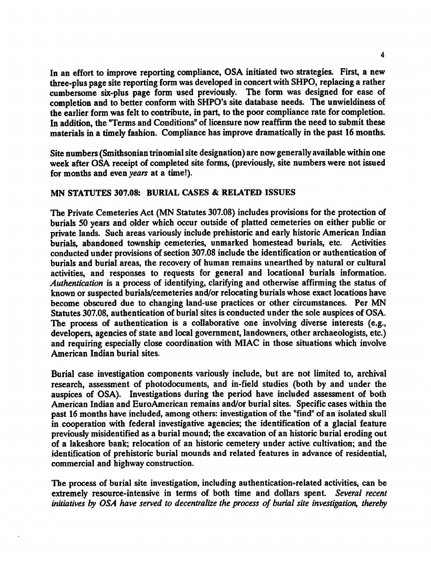In an effort to improve reporting compliance, OSA initiated two strategies. First, a new three-plus page site reporting form was developed in concert with SHPO, replacing a rather cumbersome six-plus page form used previously. The form was designed for ease of completion and to better conform with SHPO's site database needs. The unwieldiness of the earlier form was felt to contribute, in part, to the poor compliance rate for completion. In addition, the "Terms and Conditions" of licensure now reaffirm the need to submit these materials in a timely fashion. Compliance has improve dramatically in the past 16 months.

Site numbers (Smithsonian trinomial site designation) are now generally available within one week after OSA receipt of completed site forms, (previously, site numbers were not issued for months and even years at a time!).

### MN STATUTES 307.08: BURIAL CASES & RELATED ISSUES

The Private Cemeteries Act (MN Statutes 307.08) includes provisions for the protection of burials 50 years and older which occur outside of platted cemeteries on either public or private lands. Such areas variously include prehistoric and early historic American Indian burials, abandoned township cemeteries, unmarked homestead burials, etc. Activities conducted under provisions of section 307.08 include the identification or authentication of burials and burial areas, the recovery of human remains unearthed by natural or cultural activities, and responses to requests for general and locational burials information. Authentication is a process of identifying, clarifying and otherwise affirming the status of known or suspected burials/cemeteries and/or relocating burials whose exact locations have become obscured due to changing land-use practices or other circumstances. Per MN Statutes 307.08, authentication of burial sites is conducted under the sole auspices of OSA. The process of authentication is a collaborative one involving diverse interests (e.g., developers, agencies of state and local government, landowners, other archaeologists, etc.) and requiring especially close coordination with MIAC in those situations which involve American Indian burial sites.

Burial case investigation components variously include, but are not limited to, archival research, assessment of photodocuments, and in-field studies (both by and under the auspices of OSA). Investigations during the period have included assessment of both American Indian and EuroAmerican remains and/or burial sites. Specific cases within the past 16 months have included, among others: investigation of the "find" of an isolated skull in cooperation with federal investigative agencies; the identification of a glacial feature previously misidentified as burial mound; the excavation of an historic burial eroding out of a lakeshore bank; relocation of an historic cemetery under active cultivation; and the identification of prehistoric burial mounds and related features in advance of residential, commercial and highway construction.

The process of burial site investigation, including authentication-related activities, can be extremely resource-intensive in terms of both time and dollars spent. Several recent initiatives by OSA have served to decentralize the process of burial site investigation, thereby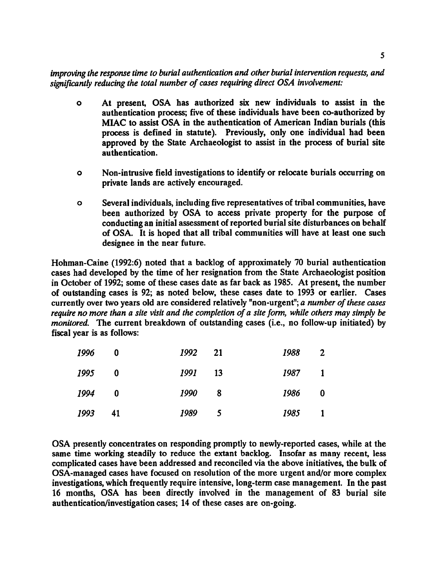improving the response time to burial authentication and other burial intervention requests, and significantly reducing the total number of cases requiring direct OSA involvement:

- o At present, OSA has authorized six new individuals to assist in the authentication process; five of these individuals have been co-authorized by MIAC to assist OSA in the authentication of American Indian burials (this process is defined in statute). Previously, only one individual had been approved by the State Archaeologist to assist in the process of burial site authentication.
- Non-intrusive field investigations to identify or relocate burials occurring on  $\bullet$ private lands are actively encouraged.
- Several individuals, including five representatives of tribal communities, have  $\mathbf{o}$ been authorized by OSA to access private property for the purpose of conducting an initial assessment of reported burial site disturbances on behalf of OSA. It is hoped that all tribal communities will have at least one such designee in the near future.

Hohman-Caine (1992:6) noted that a backlog of approximately 70 burial authentication cases had developed by the time of her resignation from the State Archaeologist position in October of 1992; some of these cases date as far back as 1985. At present, the number of outstanding cases is 92; as noted below, these cases date to 1993 or earlier. Cases currently over two years old are considered relatively "non-urgent"; a number of these cases require no more than a site visit and the completion of a site form, while others may simply be monitored. The current breakdown of outstanding cases (i.e., no follow-up initiated) by fiscal year is as follows:

| 1996 | 0            | 1992 21 |     | 1988 | $\overline{2}$           |
|------|--------------|---------|-----|------|--------------------------|
| 1995 | 0            | 1991 13 |     | 1987 | $\overline{\phantom{a}}$ |
| 1994 | $\mathbf{0}$ | 1990    | - 8 | 1986 | $\mathbf{0}$             |
| 1993 | 41           | 1989    | - 5 | 1985 | $\blacksquare$           |

OSA presently concentrates on responding promptly to newly-reported cases, while at the same time working steadily to reduce the extant backlog. Insofar as many recent, less complicated cases have been addressed and reconciled via the above initiatives, the bulk of OSA-managed cases have focused on resolution of the more urgent and/or more complex investigations, which frequently require intensive, long-term case management. In the past <sup>16</sup> months, OSA has been directly involved in the management of <sup>83</sup> burial site authentication/investigation cases; 14 of these cases are on-going.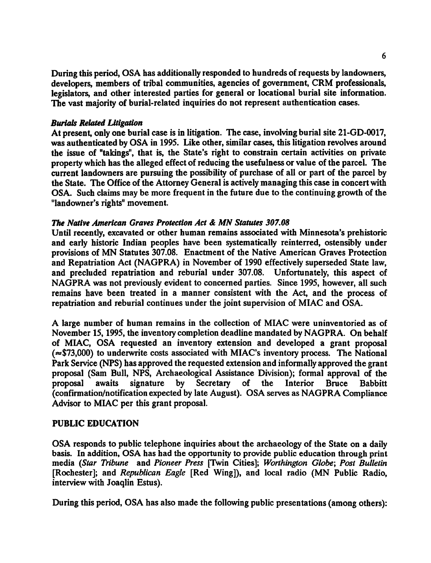During this period, OSA has additionally responded to hundreds of requests by landowners, developers, members of tribal communities, agencies of government, CRM professionals, legislators, and other interested parties for general or locational burial site information. The vast majority of burial-related inquiries do not represent authentication cases.

#### Burials Related Litigation

At present, only one burial case is in litigation. The case, involving burial site 21-GD-0017, was authenticated by OSA in 199S. Like other, similar cases, this litigation revolves around the issue of "takings", that is, the State's right to constrain certain activities on private property which has the alleged effect of reducing the usefulness or value of the parcel. The current landowners are pursuing the possibility of purchase of all or part of the parcel by the State. The Office of the Attorney General is actively managing this case in concert with OSA. Such claims may be more frequent in the future due to the continuing growth of the "landowner's rights" movement

#### The Native American Graves Protection Act & MN Statutes 307.08

Until recently, excavated or other human remains associated with Minnesota's prehistoric and early historic Indian peoples have been systematically reinterred, ostensibly under provisions of MN Statutes 307.08. Enactment of the Native American Graves Protection and Repatriation Act (NAGPRA) in November of 1990 effectively superseded State law, and precluded repatriation and reburial under 307.08. Unfortunately, this aspect of NAGPRA was not previously evident to concerned parties. Since 1995, however, all such remains have been treated in a manner consistent with the Act, and the process of repatriation and reburial continues under the joint supervision of MIAC and OSA.

A large number of human remains in the collection of MIAC were uninventoried as of November 15,1995, the inventory completion deadline mandated by NAGPRA. On behalf of MIAC, OSA requested an inventory extension and developed a grant proposal  $(\approx $73,000)$  to underwrite costs associated with MIAC's inventory process. The National Park Service (NPS) has approved the requested extension and informally approved the grant proposal (Sam Bull, NPS, Archaeological Assistance Division); formal approval of the proposal awaits signature by Secretary of the Interior Bruce Babbitt (confirmation/notification expected by late August). OSA serves as NAGPRA Compliance Advisor to MIAC per this grant proposal.

#### PUBLIC EDUCATION

OSA responds to public telephone inquiries about the archaeology of the State on a daily basis. In addition, OSA has had the opportunity to provide public education through print media (Star Tribune and Pioneer Press [Twin Cities]; Worthington Globe; Post Bulletin [Rochester]; and Republican Eagle [Red Wing]), and local radio (MN Public Radio, interview with Joaqlin Estus).

During this period, OSA has also made the following public presentations (among others):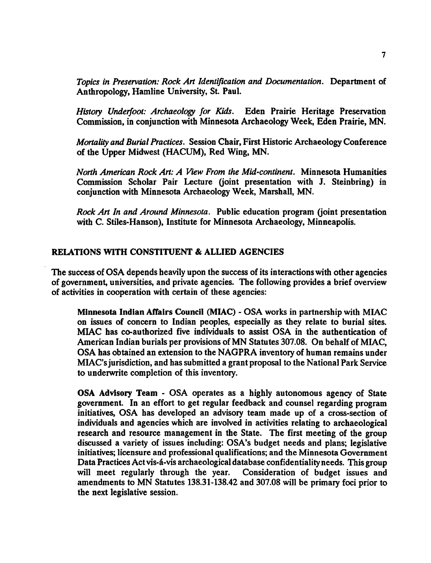Topics in Preservation: Rock Art Identification and Documentation. Department of Anthropology, Hamline University, St. Paul.

History Underfoot: Archaeology for Kids. Eden Prairie Heritage Preservation Commission, in conjunction with Minnesota Archaeology Week, Eden Prairie, MN.

Mortality and Burial Practices. Session Chair, First Historic Archaeology Conference of the Upper Midwest (HACUM), Red Wing, MN.

North American Rock Art: A View From the Mid-continent. Minnesota Humanities Commission Scholar Pair Lecture (joint presentation with J. Steinbring) in conjunction with Minnesota Archaeology Week, Marshall, MN.

Rock Art In and Around Minnesota. Public education program (joint presentation with C. Stiles-Hanson), Institute for Minnesota Archaeology, Minneapolis.

#### RELATIONS WITH CONSTITUENT & ALLIED AGENCIES

The success of OSA depends heavily upon the success of its interactions with other agencies of government, universities, and private agencies. The following provides a brief overview of activities in cooperation with certain of these agencies:

Minnesota Indian Affairs Council (MIAC)  $\text{-}$  OSA works in partnership with MIAC on issues of concern to Indian peoples, especially as they relate to burial sites. MIAC has co-authorized five individuals to assist OSA in the authentication of American Indian burials per provisions of MN Statutes 307.08. On behalf of MIAC, OSA has obtained an extension to the NAGPRA inventory of human remains under MIAC's jurisdiction, and has submitted a grant proposal to the National Park Service to underwrite completion of this inventory.

OSA Advisory Team - OSA operates as a highly autonomous agency of State government. In an effort to get regular feedback and counsel regarding program initiatives, OSA has developed an advisory team made up of a cross-section of individuals and agencies which are involved in activities relating to archaeological research and resource management in the State. The first meeting of the group discussed a variety of issues including: OSA's budget needs and plans; legislative initiatives; licensure and professional qualifications; and the Minnesota Government Data Practices Act vis-á-vis archaeological database confidentiality needs. This group will meet regularly through the year. Consideration of budget issues and amendments to MN Statutes 138.31-138.42 and 307.08 will be primary foci prior to the next legislative session.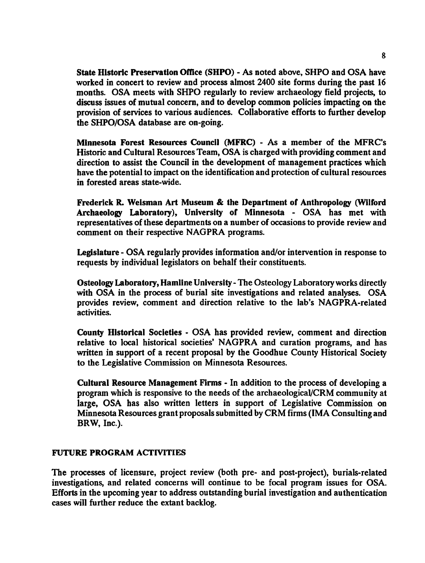State Historic Preservation Office (SHPO) - As noted above, SHPO and OSA have worked in concert to review and process almost 2400 site forms during the past 16 months. OSA meets with SHPO regularly to review archaeology field projects, to discuss issues of mutual concern, and to develop common policies impacting on the provision of services to various audiences. Collaborative efforts to further develop the SHPO/OSA database are on-going.

Minnesota Forest Resources Council (MFRC) - As a member of the MFRC's Historic and Cultural Resources Team, OSA is charged with providing comment and direction to assist the Council in the development of management practices which have the potential to impact on the identification and protection of cultural resources in forested areas state-wide.

Frederick R. Weisman Art Museum & the Department of Anthropology (Wilford Archaeology Laboratory), University of Minnesota - OSA has met with representatives of these departments on a number of occasions to provide review and comment on their respective NAGPRA programs.

Legislature - OSA regularly provides information and/or intervention in response to requests by individual legislators on behalf their constituents.

Osteology Laboratory, Hamline University - The Osteology Laboratory works directly with OSA in the process of burial site investigations and related analyses. OSA provides review, comment and direction relative to the lab's NAGPRA-related activities.

County Historical Societies - OSA has provided review, comment and direction relative to local historical societies' NAGPRA and curation programs, and has written in support of a recent proposal by the Goodhue County Historical Society to the Legislative Commission on Minnesota Resources.

Cultural Resource Management Firms - In addition to the process of developing a program which is responsive to the needs of the archaeological/CRM community at large, OSA has also written letters in support of Legislative Commission on Minnesota Resources grant proposals submitted by CRM firms (IMA Consulting and BRW, Inc.).

### FUTURE PROGRAM ACTIVITIES

The processes of licensure, project review (both pre- and post-project), burials-related investigations, and related concerns will continue to be focal program issues for OSA. Efforts in the upcoming year to address outstanding burial investigation and authentication cases will further reduce the extant backlog.